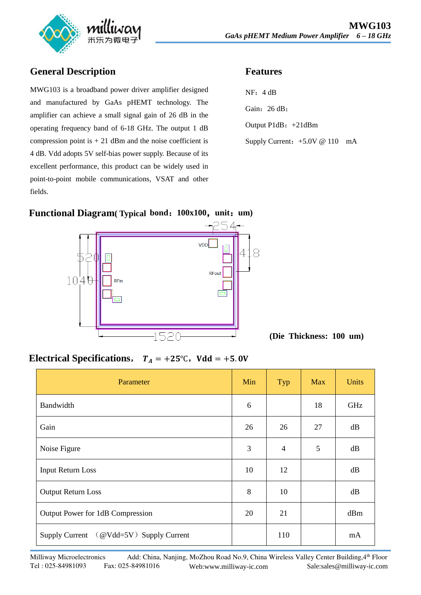

#### **General Description**

MWG103 is a broadband power driver amplifier designed and manufactured by GaAs pHEMT technology. The amplifier can achieve a small signal gain of 26 dB in the operating frequency band of 6-18 GHz. The output 1 dB compression point is  $+ 21$  dBm and the noise coefficient is 4 dB. Vdd adopts 5V self-bias power supply. Because of its excellent performance, this product can be widely used in point-to-point mobile communications, VSAT and other fields.

#### **Features**



## **Functional Diagram( Typical bond**:**100x100**,**unit**:**um)**



**(Die Thickness: 100 um)** 

## **Electrical Specifications,**  $T_A = +25^\circ \text{C}$ ,  $V d d = +5.0 \text{V}$

| Parameter                               | Min | Typ            | <b>Max</b> | <b>Units</b> |
|-----------------------------------------|-----|----------------|------------|--------------|
| Bandwidth                               | 6   |                | 18         | GHz          |
| Gain                                    | 26  | 26             | 27         | dB           |
| Noise Figure                            | 3   | $\overline{4}$ | 5          | dB           |
| <b>Input Return Loss</b>                | 10  | 12             |            | dB           |
| Output Return Loss                      | 8   | 10             |            | dB           |
| Output Power for 1dB Compression        | 20  | 21             |            | dBm          |
| Supply Current (@Vdd=5V) Supply Current |     | 110            |            | mA           |